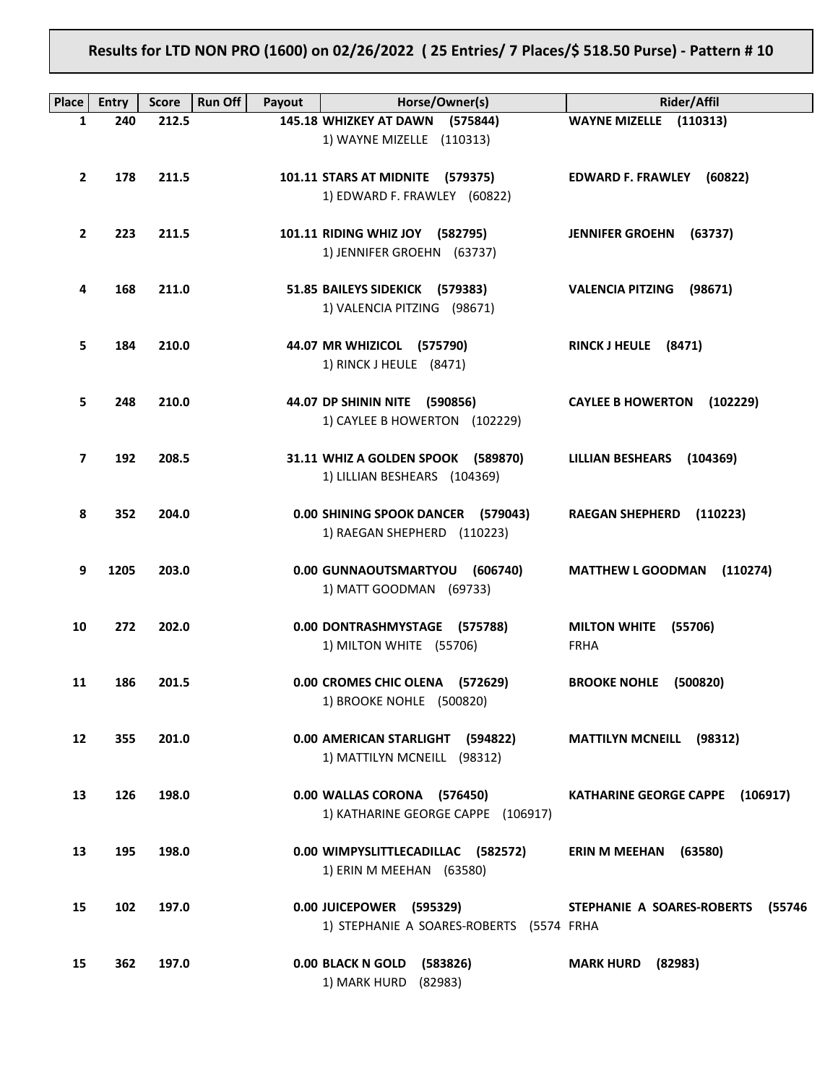**Results for LTD NON PRO (1600) on 02/26/2022 ( 25 Entries/ 7 Places/\$ 518.50 Purse) - Pattern # 10**

| <b>Place</b>    | <b>Entry</b> | <b>Score</b> | <b>Run Off</b><br>Payout | Horse/Owner(s)                           | <b>Rider/Affil</b>                   |
|-----------------|--------------|--------------|--------------------------|------------------------------------------|--------------------------------------|
| 1               | 240          | 212.5        |                          | 145.18 WHIZKEY AT DAWN (575844)          | WAYNE MIZELLE (110313)               |
|                 |              |              |                          | 1) WAYNE MIZELLE (110313)                |                                      |
|                 |              |              |                          |                                          |                                      |
| $\overline{2}$  | 178          | 211.5        |                          | 101.11 STARS AT MIDNITE (579375)         | EDWARD F. FRAWLEY (60822)            |
|                 |              |              |                          | 1) EDWARD F. FRAWLEY (60822)             |                                      |
|                 |              |              |                          |                                          |                                      |
| $\overline{2}$  | 223          | 211.5        |                          | 101.11 RIDING WHIZ JOY (582795)          | <b>JENNIFER GROEHN</b><br>(63737)    |
|                 |              |              |                          | 1) JENNIFER GROEHN (63737)               |                                      |
|                 |              |              |                          |                                          |                                      |
| 4               | 168          | 211.0        |                          | 51.85 BAILEYS SIDEKICK (579383)          | <b>VALENCIA PITZING</b><br>(98671)   |
|                 |              |              |                          | 1) VALENCIA PITZING (98671)              |                                      |
|                 |              |              |                          |                                          |                                      |
| 5               | 184          | 210.0        |                          | 44.07 MR WHIZICOL (575790)               | RINCK J HEULE (8471)                 |
|                 |              |              |                          | 1) RINCK J HEULE (8471)                  |                                      |
|                 |              |              |                          |                                          |                                      |
| 5               | 248          | 210.0        |                          | 44.07 DP SHININ NITE (590856)            | <b>CAYLEE B HOWERTON</b><br>(102229) |
|                 |              |              |                          | 1) CAYLEE B HOWERTON (102229)            |                                      |
|                 |              |              |                          |                                          |                                      |
| $\overline{7}$  | 192          | 208.5        |                          | 31.11 WHIZ A GOLDEN SPOOK (589870)       | <b>LILLIAN BESHEARS</b><br>(104369)  |
|                 |              |              |                          | 1) LILLIAN BESHEARS (104369)             |                                      |
|                 |              |              |                          |                                          |                                      |
| 8               | 352          | 204.0        |                          | 0.00 SHINING SPOOK DANCER (579043)       | <b>RAEGAN SHEPHERD</b><br>(110223)   |
|                 |              |              |                          | 1) RAEGAN SHEPHERD (110223)              |                                      |
| 9               | 1205         | 203.0        |                          | 0.00 GUNNAOUTSMARTYOU (606740)           | <b>MATTHEW L GOODMAN</b><br>(110274) |
|                 |              |              |                          | 1) MATT GOODMAN (69733)                  |                                      |
|                 |              |              |                          |                                          |                                      |
| 10              | 272          | 202.0        |                          | 0.00 DONTRASHMYSTAGE (575788)            | <b>MILTON WHITE</b><br>(55706)       |
|                 |              |              |                          | 1) MILTON WHITE (55706)                  | <b>FRHA</b>                          |
|                 |              |              |                          |                                          |                                      |
| 11              | 186          | 201.5        |                          | 0.00 CROMES CHIC OLENA (572629)          | <b>BROOKE NOHLE</b><br>(500820)      |
|                 |              |              |                          | 1) BROOKE NOHLE (500820)                 |                                      |
|                 |              |              |                          |                                          |                                      |
| 12 <sup>2</sup> | 355          | 201.0        |                          | 0.00 AMERICAN STARLIGHT (594822)         | <b>MATTILYN MCNEILL (98312)</b>      |
|                 |              |              |                          | 1) MATTILYN MCNEILL (98312)              |                                      |
|                 |              |              |                          |                                          |                                      |
| 13              | 126          | 198.0        |                          | 0.00 WALLAS CORONA (576450)              | KATHARINE GEORGE CAPPE (106917)      |
|                 |              |              |                          | 1) KATHARINE GEORGE CAPPE (106917)       |                                      |
|                 |              |              |                          |                                          |                                      |
| 13              | 195          | 198.0        |                          | 0.00 WIMPYSLITTLECADILLAC (582572)       | <b>ERIN M MEEHAN</b><br>(63580)      |
|                 |              |              |                          | 1) ERIN M MEEHAN (63580)                 |                                      |
|                 |              |              |                          |                                          |                                      |
| 15              | 102          | 197.0        |                          | 0.00 JUICEPOWER (595329)                 | STEPHANIE A SOARES-ROBERTS<br>(55746 |
|                 |              |              |                          | 1) STEPHANIE A SOARES-ROBERTS (5574 FRHA |                                      |
|                 |              |              |                          |                                          |                                      |
| 15              | 362          | 197.0        |                          | 0.00 BLACK N GOLD<br>(583826)            | <b>MARK HURD</b><br>(82983)          |
|                 |              |              |                          | 1) MARK HURD (82983)                     |                                      |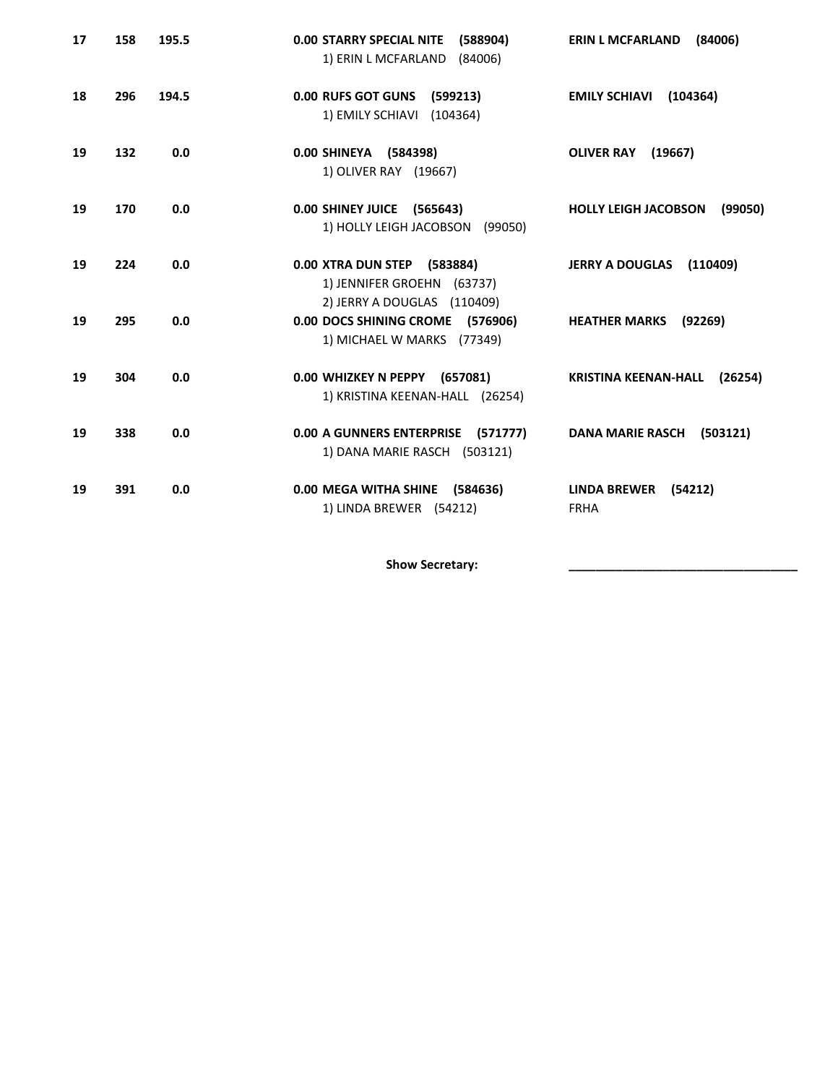| 17 | 158 | 195.5 | <b>0.00 STARRY SPECIAL NITE</b><br>(588904)<br>1) ERIN L MCFARLAND<br>(84006)            | <b>ERIN L MCFARLAND</b><br>(84006)            |
|----|-----|-------|------------------------------------------------------------------------------------------|-----------------------------------------------|
| 18 | 296 | 194.5 | 0.00 RUFS GOT GUNS<br>(599213)<br>1) EMILY SCHIAVI<br>(104364)                           | <b>EMILY SCHIAVI</b><br>(104364)              |
| 19 | 132 | 0.0   | 0.00 SHINEYA (584398)<br>1) OLIVER RAY (19667)                                           | <b>OLIVER RAY</b><br>(19667)                  |
| 19 | 170 | 0.0   | 0.00 SHINEY JUICE (565643)<br>1) HOLLY LEIGH JACOBSON (99050)                            | <b>HOLLY LEIGH JACOBSON</b><br>(99050)        |
| 19 | 224 | 0.0   | 0.00 XTRA DUN STEP (583884)<br>1) JENNIFER GROEHN (63737)<br>2) JERRY A DOUGLAS (110409) | JERRY A DOUGLAS (110409)                      |
| 19 | 295 | 0.0   | 0.00 DOCS SHINING CROME (576906)<br>1) MICHAEL W MARKS (77349)                           | <b>HEATHER MARKS</b><br>(92269)               |
| 19 | 304 | 0.0   | 0.00 WHIZKEY N PEPPY (657081)<br>1) KRISTINA KEENAN-HALL (26254)                         | <b>KRISTINA KEENAN-HALL</b><br>(26254)        |
| 19 | 338 | 0.0   | 0.00 A GUNNERS ENTERPRISE (571777)<br>1) DANA MARIE RASCH (503121)                       | <b>DANA MARIE RASCH</b><br>(503121)           |
| 19 | 391 | 0.0   | 0.00 MEGA WITHA SHINE (584636)<br>1) LINDA BREWER (54212)                                | <b>LINDA BREWER</b><br>(54212)<br><b>FRHA</b> |

Show Secretary: